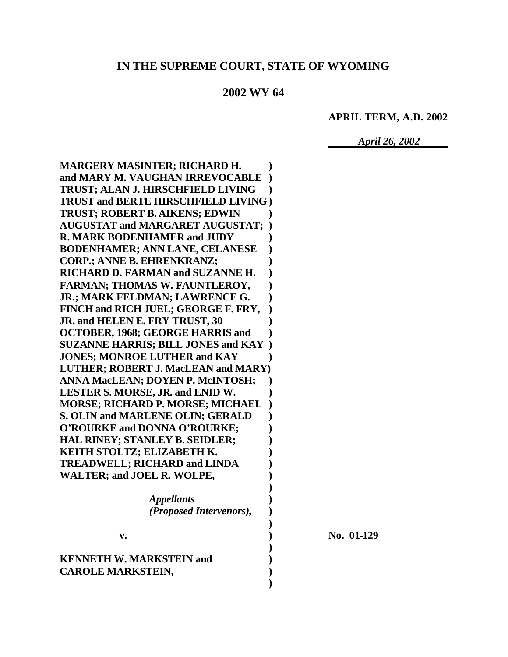## IN THE SUPREME COURT, STATE OF WYOMING

## 2002 WY 64

**APRIL TERM, A.D. 2002** 

**April 26, 2002** 

**MARGERY MASINTER; RICHARD H.** and MARY M. VAUGHAN IRREVOCABLE ) **TRUST; ALAN J. HIRSCHFIELD LIVING TRUST and BERTE HIRSCHFIELD LIVING) TRUST; ROBERT B. AIKENS; EDWIN AUGUSTAT and MARGARET AUGUSTAT: )** R. MARK BODENHAMER and JUDY **BODENHAMER; ANN LANE, CELANESE CORP.; ANNE B. EHRENKRANZ;** RICHARD D. FARMAN and SUZANNE H. **FARMAN; THOMAS W. FAUNTLEROY,** JR.; MARK FELDMAN; LAWRENCE G. FINCH and RICH JUEL; GEORGE F. FRY, JR. and HELEN E. FRY TRUST, 30 **OCTOBER, 1968; GEORGE HARRIS and SUZANNE HARRIS; BILL JONES and KAY**) **JONES: MONROE LUTHER and KAY** LUTHER; ROBERT J. MacLEAN and MARY) **ANNA MacLEAN; DOYEN P. McINTOSH;** LESTER S. MORSE, JR. and ENID W. **MORSE; RICHARD P. MORSE; MICHAEL S. OLIN and MARLENE OLIN; GERALD**  $\lambda$ O'ROURKE and DONNA O'ROURKE; **HAL RINEY; STANLEY B. SEIDLER;** KEITH STOLTZ; ELIZABETH K. **TREADWELL; RICHARD and LINDA WALTER; and JOEL R. WOLPE, Appellants** (Proposed Intervenors),  $V_{\bullet}$ **KENNETH W. MARKSTEIN and CAROLE MARKSTEIN,** 

No. 01-129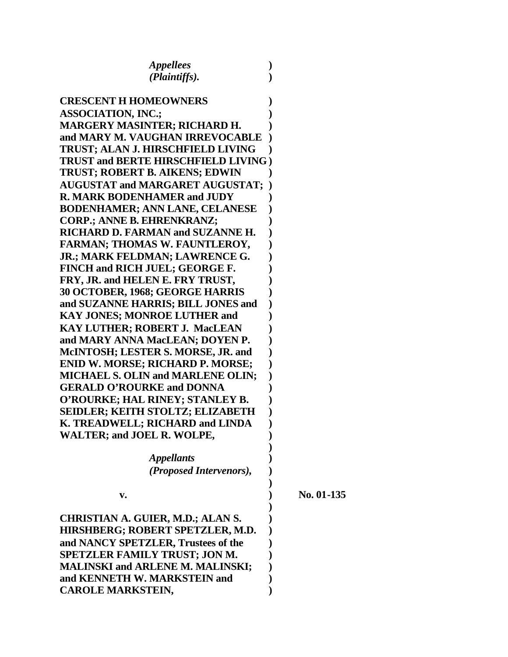| <i><b>Appellees</b></i>                    |            |
|--------------------------------------------|------------|
| (Plaintiffs).                              |            |
|                                            |            |
| <b>CRESCENT H HOMEOWNERS</b>               |            |
| <b>ASSOCIATION, INC.;</b>                  |            |
| <b>MARGERY MASINTER; RICHARD H.</b>        |            |
| and MARY M. VAUGHAN IRREVOCABLE            |            |
| TRUST; ALAN J. HIRSCHFIELD LIVING          |            |
| <b>TRUST and BERTE HIRSCHFIELD LIVING)</b> |            |
| <b>TRUST; ROBERT B. AIKENS; EDWIN</b>      |            |
| <b>AUGUSTAT and MARGARET AUGUSTAT;</b>     |            |
| <b>R. MARK BODENHAMER and JUDY</b>         |            |
| <b>BODENHAMER; ANN LANE, CELANESE</b>      |            |
| <b>CORP.; ANNE B. EHRENKRANZ;</b>          |            |
| <b>RICHARD D. FARMAN and SUZANNE H.</b>    |            |
| <b>FARMAN; THOMAS W. FAUNTLEROY,</b>       |            |
| JR.; MARK FELDMAN; LAWRENCE G.             |            |
| FINCH and RICH JUEL; GEORGE F.             |            |
| FRY, JR. and HELEN E. FRY TRUST,           |            |
| 30 OCTOBER, 1968; GEORGE HARRIS            |            |
| and SUZANNE HARRIS; BILL JONES and         |            |
| <b>KAY JONES; MONROE LUTHER and</b>        |            |
| <b>KAY LUTHER; ROBERT J. MacLEAN</b>       |            |
| and MARY ANNA MacLEAN; DOYEN P.            |            |
| McINTOSH; LESTER S. MORSE, JR. and         |            |
| <b>ENID W. MORSE; RICHARD P. MORSE;</b>    |            |
| <b>MICHAEL S. OLIN and MARLENE OLIN;</b>   |            |
| <b>GERALD O'ROURKE and DONNA</b>           |            |
| O'ROURKE; HAL RINEY; STANLEY B.            |            |
| <b>SEIDLER; KEITH STOLTZ; ELIZABETH</b>    |            |
| K. TREADWELL; RICHARD and LINDA            |            |
| <b>WALTER; and JOEL R. WOLPE,</b>          |            |
|                                            |            |
| <b>Appellants</b>                          |            |
| (Proposed Intervenors),                    |            |
|                                            | No. 01-135 |
| v.                                         |            |
| <b>CHRISTIAN A. GUIER, M.D.; ALAN S.</b>   |            |
| HIRSHBERG; ROBERT SPETZLER, M.D.           |            |
| and NANCY SPETZLER, Trustees of the        |            |
| <b>SPETZLER FAMILY TRUST; JON M.</b>       |            |
| <b>MALINSKI and ARLENE M. MALINSKI;</b>    |            |
| and KENNETH W. MARKSTEIN and               |            |
| <b>CAROLE MARKSTEIN,</b>                   |            |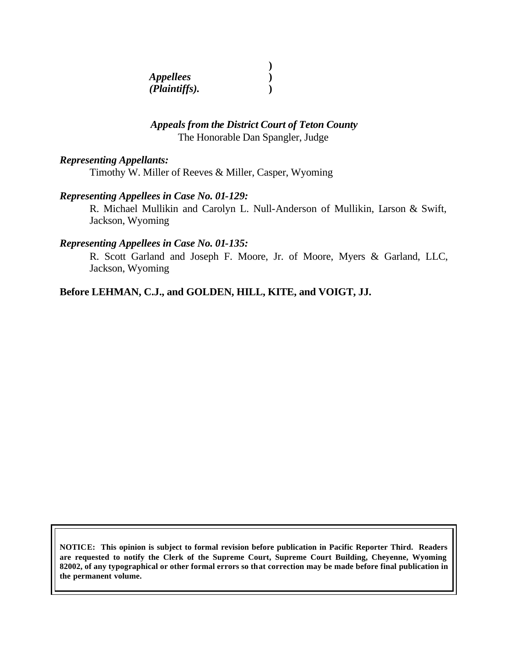| <i>Appellees</i> |  |
|------------------|--|
| (Plaintiffs).    |  |

## *Appeals from the District Court of Teton County* The Honorable Dan Spangler, Judge

#### *Representing Appellants:*

Timothy W. Miller of Reeves & Miller, Casper, Wyoming

#### *Representing Appellees in Case No. 01-129:*

R. Michael Mullikin and Carolyn L. Null-Anderson of Mullikin, Larson & Swift, Jackson, Wyoming

#### *Representing Appellees in Case No. 01-135:*

R. Scott Garland and Joseph F. Moore, Jr. of Moore, Myers & Garland, LLC, Jackson, Wyoming

#### **Before LEHMAN, C.J., and GOLDEN, HILL, KITE, and VOIGT, JJ.**

**NOTICE: This opinion is subject to formal revision before publication in Pacific Reporter Third. Readers are requested to notify the Clerk of the Supreme Court, Supreme Court Building, Cheyenne, Wyoming 82002, of any typographical or other formal errors so that correction may be made before final publication in the permanent volume.**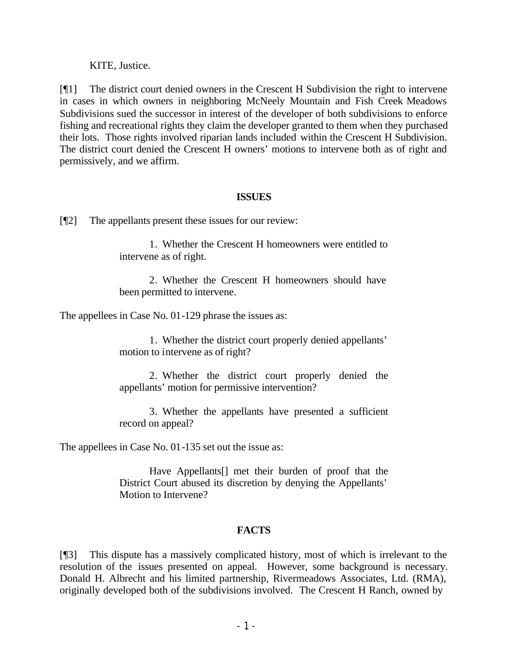KITE, Justice.

[¶1] The district court denied owners in the Crescent H Subdivision the right to intervene in cases in which owners in neighboring McNeely Mountain and Fish Creek Meadows Subdivisions sued the successor in interest of the developer of both subdivisions to enforce fishing and recreational rights they claim the developer granted to them when they purchased their lots. Those rights involved riparian lands included within the Crescent H Subdivision. The district court denied the Crescent H owners' motions to intervene both as of right and permissively, and we affirm.

# **ISSUES**

[¶2] The appellants present these issues for our review:

1. Whether the Crescent H homeowners were entitled to intervene as of right.

2. Whether the Crescent H homeowners should have been permitted to intervene.

The appellees in Case No. 01-129 phrase the issues as:

1. Whether the district court properly denied appellants' motion to intervene as of right?

2. Whether the district court properly denied the appellants' motion for permissive intervention?

3. Whether the appellants have presented a sufficient record on appeal?

The appellees in Case No. 01-135 set out the issue as:

Have Appellants[] met their burden of proof that the District Court abused its discretion by denying the Appellants' Motion to Intervene?

# **FACTS**

[¶3] This dispute has a massively complicated history, most of which is irrelevant to the resolution of the issues presented on appeal. However, some background is necessary. Donald H. Albrecht and his limited partnership, Rivermeadows Associates, Ltd. (RMA), originally developed both of the subdivisions involved. The Crescent H Ranch, owned by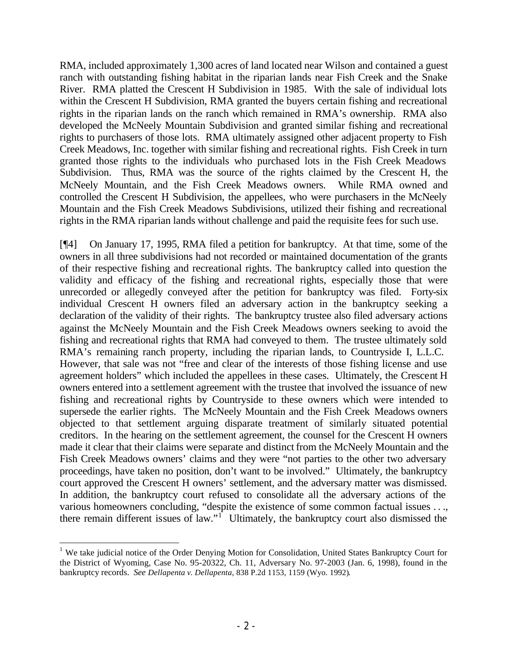RMA, included approximately 1,300 acres of land located near Wilson and contained a guest ranch with outstanding fishing habitat in the riparian lands near Fish Creek and the Snake River. RMA platted the Crescent H Subdivision in 1985. With the sale of individual lots within the Crescent H Subdivision, RMA granted the buyers certain fishing and recreational rights in the riparian lands on the ranch which remained in RMA's ownership. RMA also developed the McNeely Mountain Subdivision and granted similar fishing and recreational rights to purchasers of those lots. RMA ultimately assigned other adjacent property to Fish Creek Meadows, Inc. together with similar fishing and recreational rights. Fish Creek in turn granted those rights to the individuals who purchased lots in the Fish Creek Meadows Subdivision. Thus, RMA was the source of the rights claimed by the Crescent H, the McNeely Mountain, and the Fish Creek Meadows owners. While RMA owned and controlled the Crescent H Subdivision, the appellees, who were purchasers in the McNeely Mountain and the Fish Creek Meadows Subdivisions, utilized their fishing and recreational rights in the RMA riparian lands without challenge and paid the requisite fees for such use.

[¶4] On January 17, 1995, RMA filed a petition for bankruptcy. At that time, some of the owners in all three subdivisions had not recorded or maintained documentation of the grants of their respective fishing and recreational rights. The bankruptcy called into question the validity and efficacy of the fishing and recreational rights, especially those that were unrecorded or allegedly conveyed after the petition for bankruptcy was filed. Forty-six individual Crescent H owners filed an adversary action in the bankruptcy seeking a declaration of the validity of their rights. The bankruptcy trustee also filed adversary actions against the McNeely Mountain and the Fish Creek Meadows owners seeking to avoid the fishing and recreational rights that RMA had conveyed to them. The trustee ultimately sold RMA's remaining ranch property, including the riparian lands, to Countryside I, L.L.C. However, that sale was not "free and clear of the interests of those fishing license and use agreement holders" which included the appellees in these cases. Ultimately, the Crescent H owners entered into a settlement agreement with the trustee that involved the issuance of new fishing and recreational rights by Countryside to these owners which were intended to supersede the earlier rights. The McNeely Mountain and the Fish Creek Meadows owners objected to that settlement arguing disparate treatment of similarly situated potential creditors. In the hearing on the settlement agreement, the counsel for the Crescent H owners made it clear that their claims were separate and distinct from the McNeely Mountain and the Fish Creek Meadows owners' claims and they were "not parties to the other two adversary proceedings, have taken no position, don't want to be involved." Ultimately, the bankruptcy court approved the Crescent H owners' settlement, and the adversary matter was dismissed. In addition, the bankruptcy court refused to consolidate all the adversary actions of the various homeowners concluding, "despite the existence of some common factual issues . . ., there remain different issues of law."<sup>1</sup> Ultimately, the bankruptcy court also dismissed the

<sup>&</sup>lt;sup>1</sup> We take judicial notice of the Order Denying Motion for Consolidation, United States Bankruptcy Court for the District of Wyoming, Case No. 95-20322, Ch. 11, Adversary No. 97-2003 (Jan. 6, 1998), found in the bankruptcy records. *See Dellapenta v. Dellapenta*, 838 P.2d 1153, 1159 (Wyo. 1992).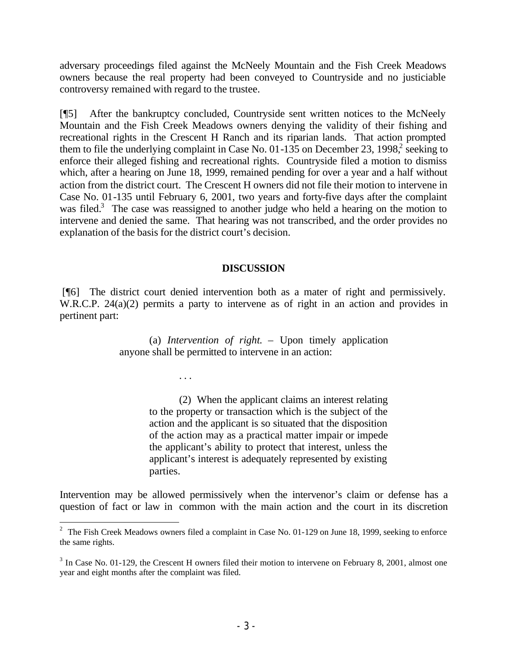adversary proceedings filed against the McNeely Mountain and the Fish Creek Meadows owners because the real property had been conveyed to Countryside and no justiciable controversy remained with regard to the trustee.

[¶5] After the bankruptcy concluded, Countryside sent written notices to the McNeely Mountain and the Fish Creek Meadows owners denying the validity of their fishing and recreational rights in the Crescent H Ranch and its riparian lands. That action prompted them to file the underlying complaint in Case No. 01-135 on December 23, 1998, seeking to enforce their alleged fishing and recreational rights. Countryside filed a motion to dismiss which, after a hearing on June 18, 1999, remained pending for over a year and a half without action from the district court. The Crescent H owners did not file their motion to intervene in Case No. 01-135 until February 6, 2001, two years and forty-five days after the complaint was filed.<sup>3</sup> The case was reassigned to another judge who held a hearing on the motion to intervene and denied the same. That hearing was not transcribed, and the order provides no explanation of the basis for the district court's decision.

# **DISCUSSION**

 [¶6] The district court denied intervention both as a mater of right and permissively. W.R.C.P. 24(a)(2) permits a party to intervene as of right in an action and provides in pertinent part:

> (a) *Intervention of right.* – Upon timely application anyone shall be permitted to intervene in an action:

> > . . .

(2) When the applicant claims an interest relating to the property or transaction which is the subject of the action and the applicant is so situated that the disposition of the action may as a practical matter impair or impede the applicant's ability to protect that interest, unless the applicant's interest is adequately represented by existing parties.

Intervention may be allowed permissively when the intervenor's claim or defense has a question of fact or law in common with the main action and the court in its discretion

<sup>&</sup>lt;sup>2</sup> The Fish Creek Meadows owners filed a complaint in Case No. 01-129 on June 18, 1999, seeking to enforce the same rights.

 $3 \text{ In Case No. } 01-129$ , the Crescent H owners filed their motion to intervene on February 8, 2001, almost one year and eight months after the complaint was filed.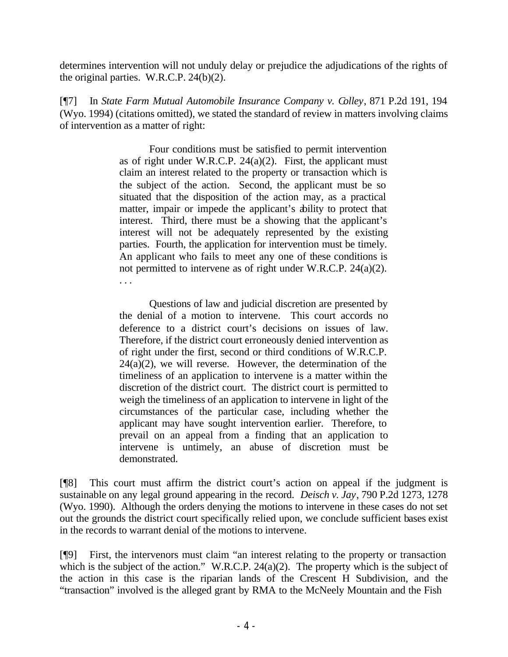determines intervention will not unduly delay or prejudice the adjudications of the rights of the original parties. W.R.C.P. 24(b)(2).

[¶7] In *State Farm Mutual Automobile Insurance Company v. Colley*, 871 P.2d 191, 194 (Wyo. 1994) (citations omitted), we stated the standard of review in matters involving claims of intervention as a matter of right:

> Four conditions must be satisfied to permit intervention as of right under W.R.C.P.  $24(a)(2)$ . First, the applicant must claim an interest related to the property or transaction which is the subject of the action. Second, the applicant must be so situated that the disposition of the action may, as a practical matter, impair or impede the applicant's ability to protect that interest. Third, there must be a showing that the applicant's interest will not be adequately represented by the existing parties. Fourth, the application for intervention must be timely. An applicant who fails to meet any one of these conditions is not permitted to intervene as of right under W.R.C.P. 24(a)(2). . . .

> Questions of law and judicial discretion are presented by the denial of a motion to intervene. This court accords no deference to a district court's decisions on issues of law. Therefore, if the district court erroneously denied intervention as of right under the first, second or third conditions of W.R.C.P.  $24(a)(2)$ , we will reverse. However, the determination of the timeliness of an application to intervene is a matter within the discretion of the district court. The district court is permitted to weigh the timeliness of an application to intervene in light of the circumstances of the particular case, including whether the applicant may have sought intervention earlier. Therefore, to prevail on an appeal from a finding that an application to intervene is untimely, an abuse of discretion must be demonstrated.

[¶8] This court must affirm the district court's action on appeal if the judgment is sustainable on any legal ground appearing in the record. *Deisch v. Jay*, 790 P.2d 1273, 1278 (Wyo. 1990). Although the orders denying the motions to intervene in these cases do not set out the grounds the district court specifically relied upon, we conclude sufficient bases exist in the records to warrant denial of the motions to intervene.

[¶9] First, the intervenors must claim "an interest relating to the property or transaction which is the subject of the action." W.R.C.P. 24(a)(2). The property which is the subject of the action in this case is the riparian lands of the Crescent H Subdivision, and the "transaction" involved is the alleged grant by RMA to the McNeely Mountain and the Fish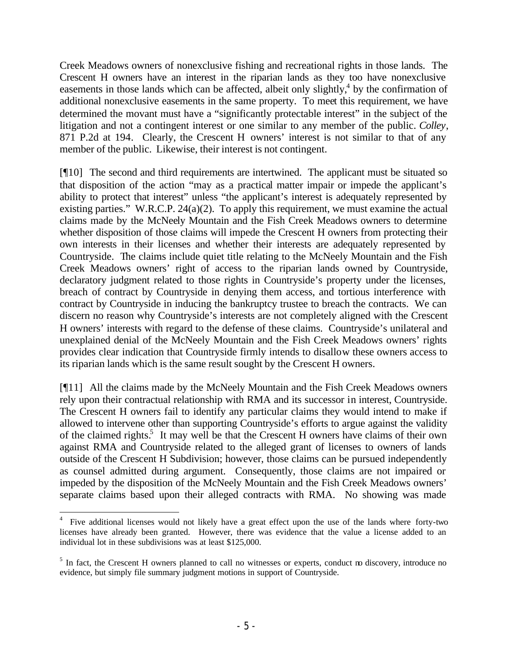Creek Meadows owners of nonexclusive fishing and recreational rights in those lands. The Crescent H owners have an interest in the riparian lands as they too have nonexclusive easements in those lands which can be affected, albeit only slightly, $4$  by the confirmation of additional nonexclusive easements in the same property. To meet this requirement, we have determined the movant must have a "significantly protectable interest" in the subject of the litigation and not a contingent interest or one similar to any member of the public. *Colley*, 871 P.2d at 194*.* Clearly, the Crescent H owners' interest is not similar to that of any member of the public. Likewise, their interest is not contingent.

[¶10] The second and third requirements are intertwined. The applicant must be situated so that disposition of the action "may as a practical matter impair or impede the applicant's ability to protect that interest" unless "the applicant's interest is adequately represented by existing parties." W.R.C.P. 24(a)(2). To apply this requirement, we must examine the actual claims made by the McNeely Mountain and the Fish Creek Meadows owners to determine whether disposition of those claims will impede the Crescent H owners from protecting their own interests in their licenses and whether their interests are adequately represented by Countryside. The claims include quiet title relating to the McNeely Mountain and the Fish Creek Meadows owners' right of access to the riparian lands owned by Countryside, declaratory judgment related to those rights in Countryside's property under the licenses, breach of contract by Countryside in denying them access, and tortious interference with contract by Countryside in inducing the bankruptcy trustee to breach the contracts. We can discern no reason why Countryside's interests are not completely aligned with the Crescent H owners' interests with regard to the defense of these claims. Countryside's unilateral and unexplained denial of the McNeely Mountain and the Fish Creek Meadows owners' rights provides clear indication that Countryside firmly intends to disallow these owners access to its riparian lands which is the same result sought by the Crescent H owners.

[¶11] All the claims made by the McNeely Mountain and the Fish Creek Meadows owners rely upon their contractual relationship with RMA and its successor in interest, Countryside. The Crescent H owners fail to identify any particular claims they would intend to make if allowed to intervene other than supporting Countryside's efforts to argue against the validity of the claimed rights.<sup>5</sup> It may well be that the Crescent H owners have claims of their own against RMA and Countryside related to the alleged grant of licenses to owners of lands outside of the Crescent H Subdivision; however, those claims can be pursued independently as counsel admitted during argument. Consequently, those claims are not impaired or impeded by the disposition of the McNeely Mountain and the Fish Creek Meadows owners' separate claims based upon their alleged contracts with RMA. No showing was made

<sup>4</sup> Five additional licenses would not likely have a great effect upon the use of the lands where forty-two licenses have already been granted. However, there was evidence that the value a license added to an individual lot in these subdivisions was at least \$125,000.

<sup>&</sup>lt;sup>5</sup> In fact, the Crescent H owners planned to call no witnesses or experts, conduct no discovery, introduce no evidence, but simply file summary judgment motions in support of Countryside.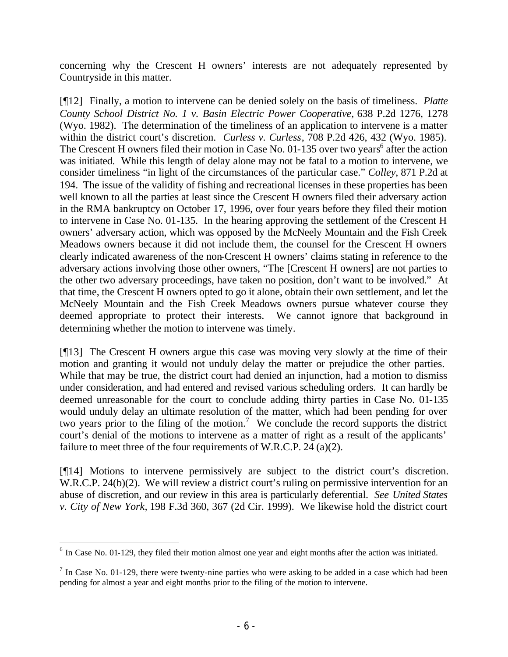concerning why the Crescent H owners' interests are not adequately represented by Countryside in this matter.

[¶12] Finally, a motion to intervene can be denied solely on the basis of timeliness. *Platte County School District No. 1 v. Basin Electric Power Cooperative,* 638 P.2d 1276, 1278 (Wyo. 1982). The determination of the timeliness of an application to intervene is a matter within the district court's discretion. *Curless v. Curless*, 708 P.2d 426, 432 (Wyo. 1985). The Crescent H owners filed their motion in Case No.  $01-135$  over two years<sup>6</sup> after the action was initiated. While this length of delay alone may not be fatal to a motion to intervene, we consider timeliness "in light of the circumstances of the particular case." *Colley*, 871 P.2d at 194. The issue of the validity of fishing and recreational licenses in these properties has been well known to all the parties at least since the Crescent H owners filed their adversary action in the RMA bankruptcy on October 17, 1996, over four years before they filed their motion to intervene in Case No. 01-135. In the hearing approving the settlement of the Crescent H owners' adversary action, which was opposed by the McNeely Mountain and the Fish Creek Meadows owners because it did not include them, the counsel for the Crescent H owners clearly indicated awareness of the non-Crescent H owners' claims stating in reference to the adversary actions involving those other owners, "The [Crescent H owners] are not parties to the other two adversary proceedings, have taken no position, don't want to be involved." At that time, the Crescent H owners opted to go it alone, obtain their own settlement, and let the McNeely Mountain and the Fish Creek Meadows owners pursue whatever course they deemed appropriate to protect their interests. We cannot ignore that background in determining whether the motion to intervene was timely.

[¶13] The Crescent H owners argue this case was moving very slowly at the time of their motion and granting it would not unduly delay the matter or prejudice the other parties. While that may be true, the district court had denied an injunction, had a motion to dismiss under consideration, and had entered and revised various scheduling orders. It can hardly be deemed unreasonable for the court to conclude adding thirty parties in Case No. 01-135 would unduly delay an ultimate resolution of the matter, which had been pending for over two years prior to the filing of the motion.<sup>7</sup> We conclude the record supports the district court's denial of the motions to intervene as a matter of right as a result of the applicants' failure to meet three of the four requirements of W.R.C.P. 24 (a)(2).

[¶14] Motions to intervene permissively are subject to the district court's discretion. W.R.C.P. 24(b)(2). We will review a district court's ruling on permissive intervention for an abuse of discretion, and our review in this area is particularly deferential. *See United States v. City of New York,* 198 F.3d 360, 367 (2d Cir. 1999). We likewise hold the district court

 $6$  In Case No. 01-129, they filed their motion almost one year and eight months after the action was initiated.

 $<sup>7</sup>$  In Case No. 01-129, there were twenty-nine parties who were asking to be added in a case which had been</sup> pending for almost a year and eight months prior to the filing of the motion to intervene.